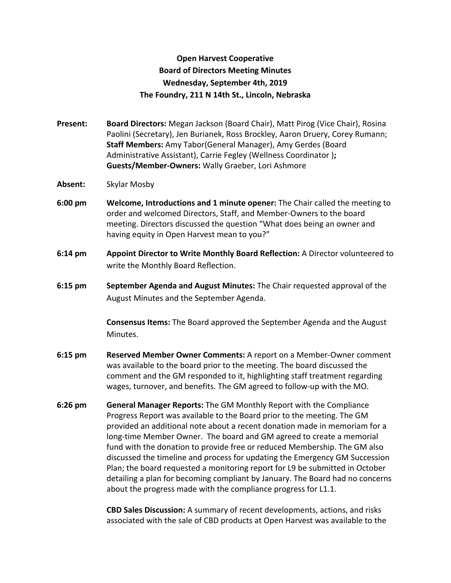## **Open Harvest Cooperative Board of Directors Meeting Minutes Wednesday, September 4th, 2019 The Foundry, 211 N 14th St., Lincoln, Nebraska**

**Present: Board Directors:** Megan Jackson (Board Chair), Matt Pirog (Vice Chair), Rosina Paolini (Secretary), Jen Burianek, Ross Brockley, Aaron Druery, Corey Rumann; **Staff Members:** Amy Tabor(General Manager), Amy Gerdes (Board Administrative Assistant), Carrie Fegley (Wellness Coordinator )**; Guests/Member-Owners:** Wally Graeber, Lori Ashmore

- **Absent:** Skylar Mosby
- **6:00 pm Welcome, Introductions and 1 minute opener:** The Chair called the meeting to order and welcomed Directors, Staff, and Member-Owners to the board meeting. Directors discussed the question "What does being an owner and having equity in Open Harvest mean to you?"
- **6:14 pm Appoint Director to Write Monthly Board Reflection:** A Director volunteered to write the Monthly Board Reflection.
- **6:15 pm September Agenda and August Minutes:** The Chair requested approval of the August Minutes and the September Agenda.

**Consensus Items:** The Board approved the September Agenda and the August Minutes.

- **6:15 pm Reserved Member Owner Comments:** A report on a Member-Owner comment was available to the board prior to the meeting. The board discussed the comment and the GM responded to it, highlighting staff treatment regarding wages, turnover, and benefits. The GM agreed to follow-up with the MO.
- **6:26 pm General Manager Reports:** The GM Monthly Report with the Compliance Progress Report was available to the Board prior to the meeting. The GM provided an additional note about a recent donation made in memoriam for a long-time Member Owner. The board and GM agreed to create a memorial fund with the donation to provide free or reduced Membership. The GM also discussed the timeline and process for updating the Emergency GM Succession Plan; the board requested a monitoring report for L9 be submitted in October detailing a plan for becoming compliant by January. The Board had no concerns about the progress made with the compliance progress for L1.1.

**CBD Sales Discussion:** A summary of recent developments, actions, and risks associated with the sale of CBD products at Open Harvest was available to the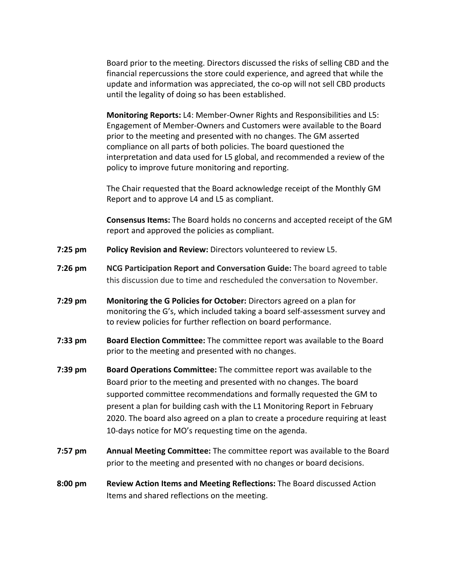Board prior to the meeting. Directors discussed the risks of selling CBD and the financial repercussions the store could experience, and agreed that while the update and information was appreciated, the co-op will not sell CBD products until the legality of doing so has been established.

**Monitoring Reports:** L4: Member-Owner Rights and Responsibilities and L5: Engagement of Member-Owners and Customers were available to the Board prior to the meeting and presented with no changes. The GM asserted compliance on all parts of both policies. The board questioned the interpretation and data used for L5 global, and recommended a review of the policy to improve future monitoring and reporting.

The Chair requested that the Board acknowledge receipt of the Monthly GM Report and to approve L4 and L5 as compliant.

**Consensus Items:** The Board holds no concerns and accepted receipt of the GM report and approved the policies as compliant.

- **7:25 pm Policy Revision and Review:** Directors volunteered to review L5.
- **7:26 pm NCG Participation Report and Conversation Guide:** The board agreed to table this discussion due to time and rescheduled the conversation to November.
- **7:29 pm Monitoring the G Policies for October:** Directors agreed on a plan for monitoring the G's, which included taking a board self-assessment survey and to review policies for further reflection on board performance.
- **7:33 pm Board Election Committee:** The committee report was available to the Board prior to the meeting and presented with no changes.
- **7:39 pm Board Operations Committee:** The committee report was available to the Board prior to the meeting and presented with no changes. The board supported committee recommendations and formally requested the GM to present a plan for building cash with the L1 Monitoring Report in February 2020. The board also agreed on a plan to create a procedure requiring at least 10-days notice for MO's requesting time on the agenda.
- **7:57 pm Annual Meeting Committee:** The committee report was available to the Board prior to the meeting and presented with no changes or board decisions.
- **8:00 pm Review Action Items and Meeting Reflections:** The Board discussed Action Items and shared reflections on the meeting.